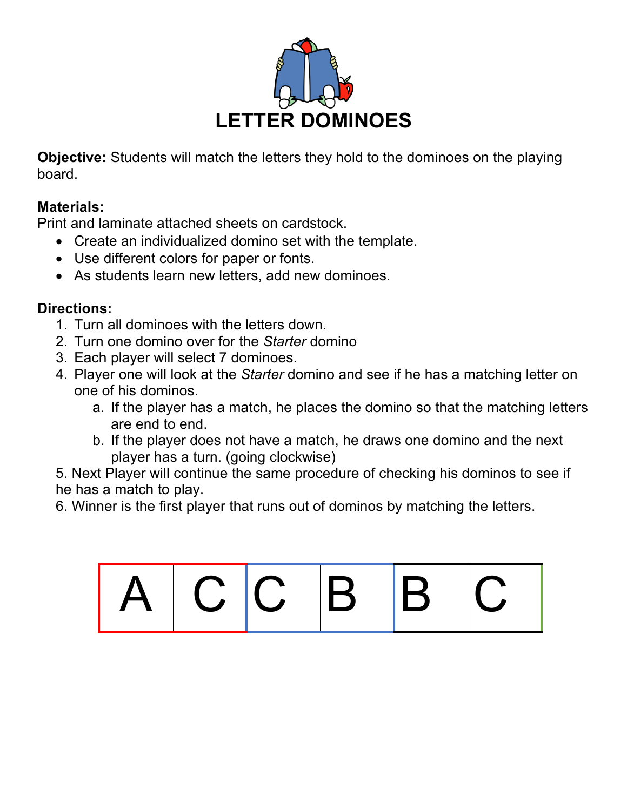

**Objective:** Students will match the letters they hold to the dominoes on the playing board.

## **Materials:**

Print and laminate attached sheets on cardstock.

- Create an individualized domino set with the template.
- Use different colors for paper or fonts.
- As students learn new letters, add new dominoes.

## **Directions:**

- 1. Turn all dominoes with the letters down.
- 2. Turn one domino over for the *Starter* domino
- 3. Each player will select 7 dominoes.
- 4. Player one will look at the *Starter* domino and see if he has a matching letter on one of his dominos.
	- a. If the player has a match, he places the domino so that the matching letters are end to end.
	- b. If the player does not have a match, he draws one domino and the next player has a turn. (going clockwise)

5. Next Player will continue the same procedure of checking his dominos to see if he has a match to play.

6. Winner is the first player that runs out of dominos by matching the letters.

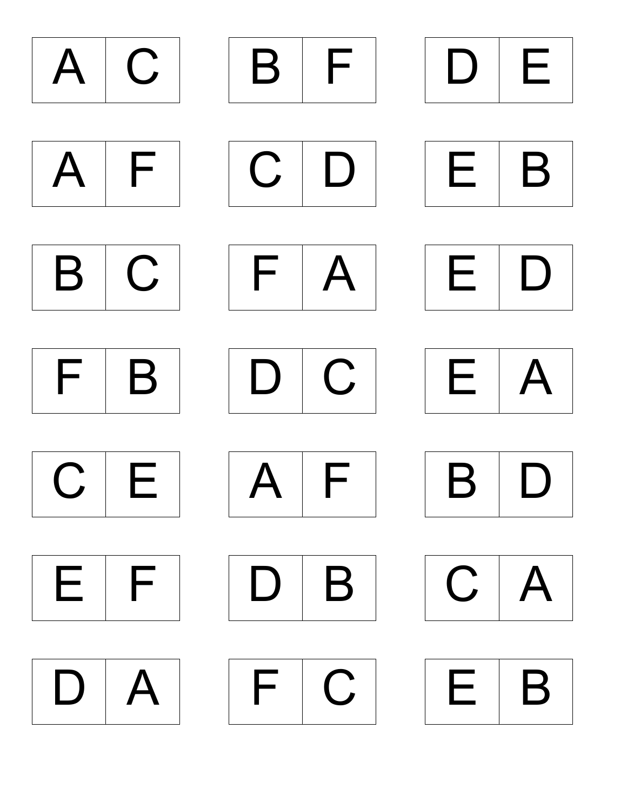



















|--|





 $F C$ 







|--|





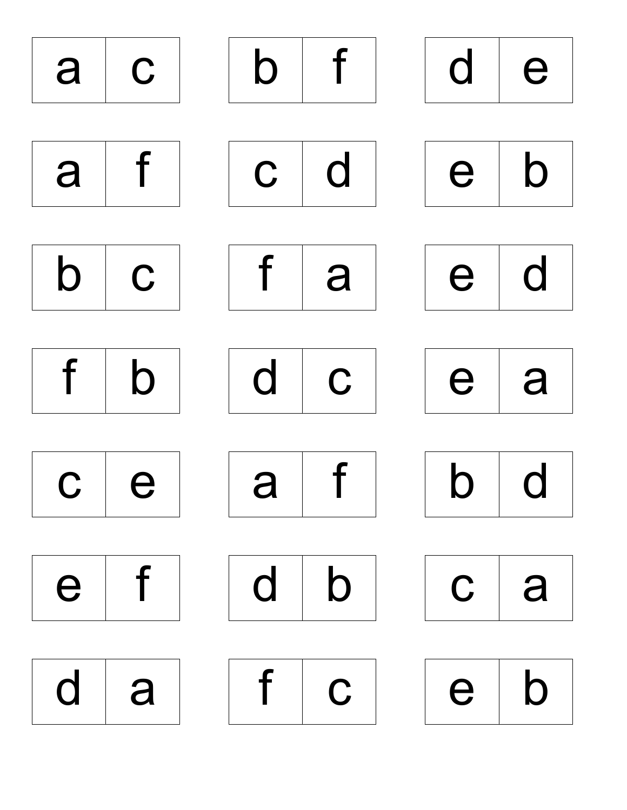| a                     | $\mathbf{C}$                       | $\mathsf b$  | $\overline{f}$            | $d \mid e$                   |             |
|-----------------------|------------------------------------|--------------|---------------------------|------------------------------|-------------|
|                       |                                    |              |                           |                              |             |
| a                     | f                                  |              | $\mathbf{C}$ $\mathbf{d}$ | e <sub>1</sub>               | $\mathbf b$ |
|                       |                                    |              |                           |                              |             |
| $\mathsf{b}$          | $\overline{c}$                     |              | f  a                      | e d                          |             |
|                       |                                    |              |                           |                              |             |
| f                     | $\mathsf{b}$                       | $\mathsf{d}$ | $\mathbf{C}$              | $e \mid a$                   |             |
|                       |                                    |              |                           |                              |             |
|                       | $c \mid e \mid \mid a \mid f \mid$ |              |                           | $\mathsf{b} \mid \mathsf{d}$ |             |
|                       |                                    |              |                           |                              |             |
| $e$ f $d$ $b$ $c$ $a$ |                                    |              |                           |                              |             |
|                       |                                    |              |                           |                              |             |
|                       |                                    |              |                           |                              |             |
|                       | d   a     f   c                    |              |                           | e b                          |             |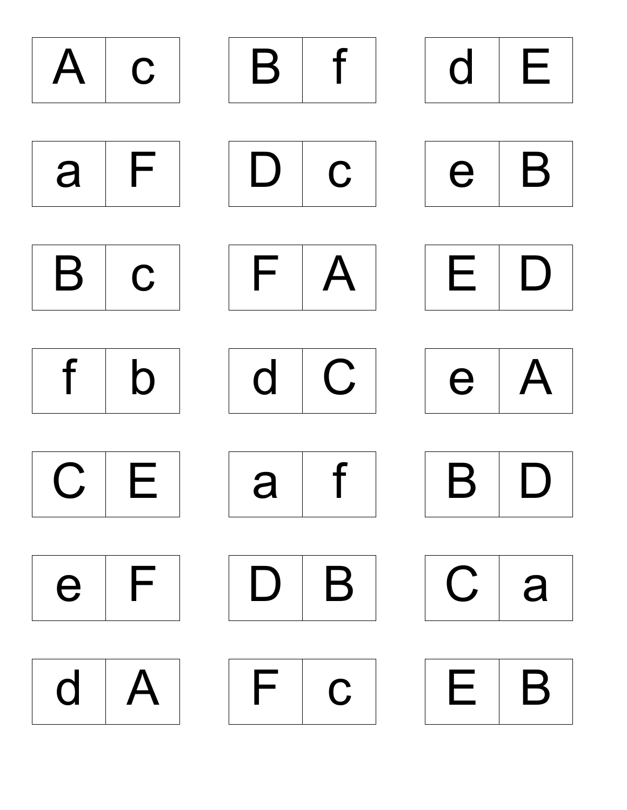





| $\blacktriangleright$ |
|-----------------------|
|-----------------------|













| $\mathcal{L}^{\mathcal{A}}$ | r |
|-----------------------------|---|
|-----------------------------|---|













| $\qquad \qquad \Box$ | /\<br>_ |
|----------------------|---------|
|----------------------|---------|